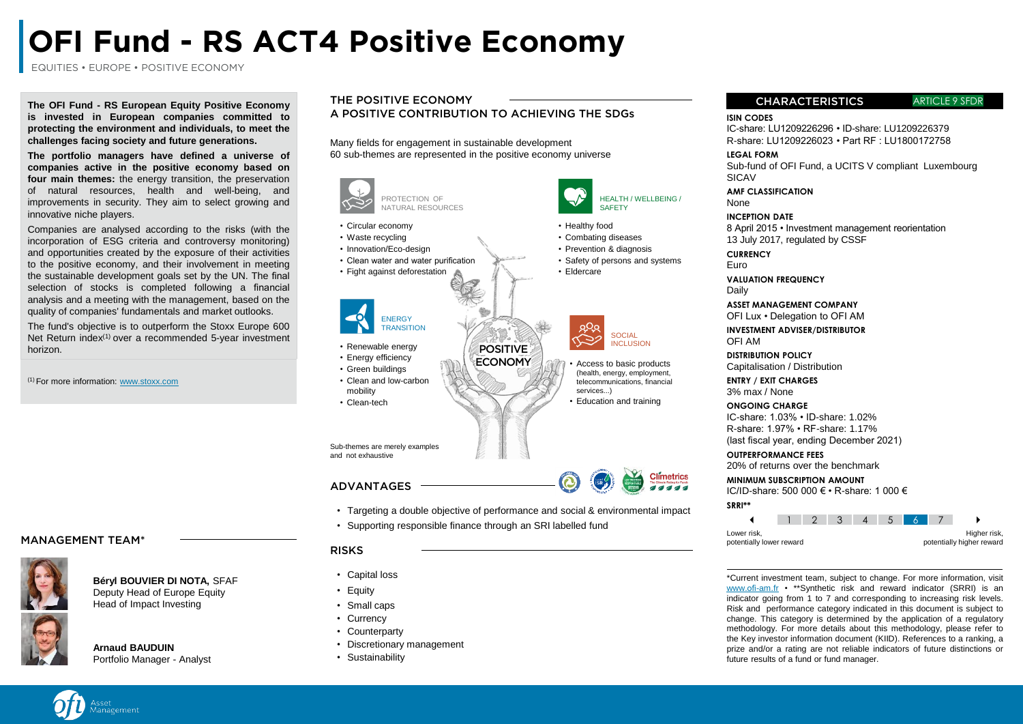# **OFI Fund - RS ACT4 Positive Economy**

EQUITIES • EUROPE • POSITIVE ECONOMY

**The OFI Fund - RS European Equity Positive Economy is invested in European companies committed to protecting the environment and individuals, to meet the challenges facing society and future generations.**

**The portfolio managers have defined a universe of companies active in the positive economy based on four main themes:** the energy transition, the preservation of natural resources, health and well-being, and improvements in security. They aim to select growing and innovative niche players.

Companies are analysed according to the risks (with the incorporation of ESG criteria and controversy monitoring) and opportunities created by the exposure of their activities to the positive economy, and their involvement in meeting the sustainable development goals set by the UN. The final selection of stocks is completed following a financial analysis and a meeting with the management, based on the quality of companies' fundamentals and market outlooks.

The fund's objective is to outperform the Stoxx Europe 600 Net Return index $(1)$  over a recommended 5-year investment horizon.

(1) For more information: www[.stoxx.com](http://www.stoxx.com/)

# THE POSITIVE ECONOMY

A POSITIVE CONTRIBUTION TO ACHIEVING THE SDGs

Many fields for engagement in sustainable development 60 sub-themes are represented in the positive economy universe



# CHARACTERISTICS ARTICLE 9 SFDR

**ISIN CODES**

IC-share: LU1209226296 • ID-share: LU1209226379 R-share: LU1209226023 • Part RF : LU1800172758

## **LEGAL FORM**

Sub-fund of OFI Fund, a UCITS V compliant Luxembourg **SICAV** 

#### **AMF CLASSIFICATION** None

#### **INCEPTION DATE**

8 April 2015 • Investment management reorientation 13 July 2017, regulated by CSSF

**CURRENCY**

HEALTH / WELLBEING /

**SAFFTY** 

• Access to basic products (health, energy, employment, telecommunications, financial

**Climetrics** 

**SOCIAL** INCLUSION

services...)

Euro

**VALUATION FREQUENCY**

Daily

**ASSET MANAGEMENT COMPANY** OFI Lux • Delegation to OFI AM

**INVESTMENT ADVISER/DISTRIBUTOR** OFI AM

**DISTRIBUTION POLICY** Capitalisation / Distribution

**ENTRY / EXIT CHARGES** 3% max / None

#### **ONGOING CHARGE**

IC-share: 1.03% • ID-share: 1.02% R-share: 1.97% • RF-share: 1.17% (last fiscal year, ending December 2021)

#### **OUTPERFORMANCE FEES**

20% of returns over the benchmark

**MINIMUM SUBSCRIPTION AMOUNT**

IC/ID-share: 500 000 € • R-share: 1 000 € **SRRI\*\***



\*Current investment team, subject to change. For more information, visit www.ofi-am.fr • \*\*Synthetic risk and reward indicator (SRRI) is an indicator going from 1 to 7 and corresponding to increasing risk levels. Risk and performance category indicated in this document is subject to change. This category is determined by the application of a regulatory methodology. For more details about this methodology, please refer to the Key investor information document (KIID). References to a ranking, a prize and/or a rating are not reliable indicators of future distinctions or future results of a fund or fund manager.

# MANAGEMENT TEAM\*



## **Béryl BOUVIER DI NOTA,** SFAF Deputy Head of Europe Equity Head of Impact Investing

**Arnaud BAUDUIN** Portfolio Manager - Analyst

- - Small caps
	- Currency
	- Counterparty
	- Discretionary management
	- Sustainability